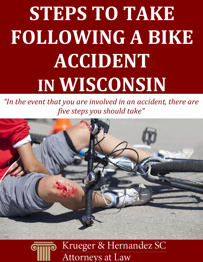# **STEPS TO TAKE FOLLOWING A BIKE ACCIDENT IN WISCONSIN**

*"In the event that you are involved in an accident, there are five steps you should take"*



## Krueger & Hernandez SC **Attorneys at Law**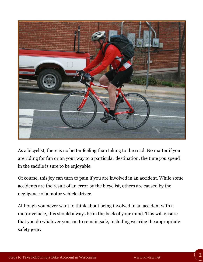

As a bicyclist, there is no better feeling than taking to the road. No matter if you are riding for fun or on your way to a particular destination, the time you spend in the saddle is sure to be enjoyable.

Of course, this joy can turn to pain if you are involved in an accident. While some accidents are the result of an error by the bicyclist, others are caused by the negligence of a motor vehicle driver.

Although you never want to think about being involved in an accident with a motor vehicle, this should always be in the back of your mind. This will ensure that you do whatever you can to remain safe, including wearing the appropriate safety gear.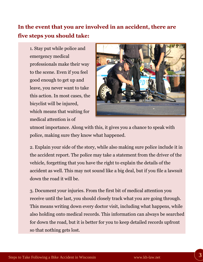## **In the event that you are involved in an accident, there are five steps you should take:**

1. Stay put while police and emergency medical professionals make their way to the scene. Even if you feel good enough to get up and leave, you never want to take this action. In most cases, the bicyclist will be injured, which means that waiting for medical attention is of



utmost importance. Along with this, it gives you a chance to speak with police, making sure they know what happened.

2. Explain your side of the story, while also making sure police include it in the accident report. The police may take a statement from the driver of the vehicle, forgetting that you have the right to explain the details of the accident as well. This may not sound like a big deal, but if you file a lawsuit down the road it will be.

3. Document your injuries. From the first bit of medical attention you receive until the last, you should closely track what you are going through. This means writing down every doctor visit, including what happens, while also holding onto medical records. This information can always be searched for down the road, but it is better for you to keep detailed records upfront so that nothing gets lost.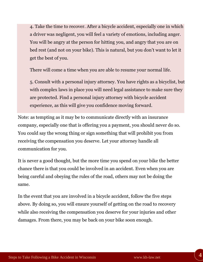4. Take the time to recover. After a bicycle accident, especially one in which a driver was negligent, you will feel a variety of emotions, including anger. You will be angry at the person for hitting you, and angry that you are on bed rest (and not on your bike). This is natural, but you don't want to let it get the best of you.

There will come a time when you are able to resume your normal life.

5. Consult with a personal injury attorney. You have rights as a bicyclist, but with complex laws in place you will need legal assistance to make sure they are protected. Find a personal injury attorney with bicycle accident experience, as this will give you confidence moving forward.

Note: as tempting as it may be to communicate directly with an insurance company, especially one that is offering you a payment, you should never do so. You could say the wrong thing or sign something that will prohibit you from receiving the compensation you deserve. Let your attorney handle all communication for you.

It is never a good thought, but the more time you spend on your bike the better chance there is that you could be involved in an accident. Even when you are being careful and obeying the rules of the road, others may not be doing the same.

In the event that you are involved in a bicycle accident, follow the five steps above. By doing so, you will ensure yourself of getting on the road to recovery while also receiving the compensation you deserve for your injuries and other damages. From there, you may be back on your bike soon enough.